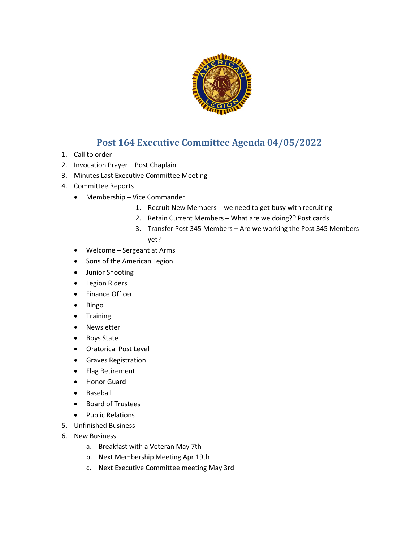

## **Post 164 Executive Committee Agenda 04/05/2022**

- 1. Call to order
- 2. Invocation Prayer Post Chaplain
- 3. Minutes Last Executive Committee Meeting
- 4. Committee Reports
	- Membership Vice Commander
		- 1. Recruit New Members we need to get busy with recruiting
		- 2. Retain Current Members What are we doing?? Post cards
		- 3. Transfer Post 345 Members Are we working the Post 345 Members yet?
	- Welcome Sergeant at Arms
	- Sons of the American Legion
	- Junior Shooting
	- Legion Riders
	- Finance Officer
	- Bingo
	- Training
	- Newsletter
	- Boys State
	- Oratorical Post Level
	- Graves Registration
	- Flag Retirement
	- Honor Guard
	- Baseball
	- Board of Trustees
	- Public Relations
- 5. Unfinished Business
- 6. New Business
	- a. Breakfast with a Veteran May 7th
	- b. Next Membership Meeting Apr 19th
	- c. Next Executive Committee meeting May 3rd